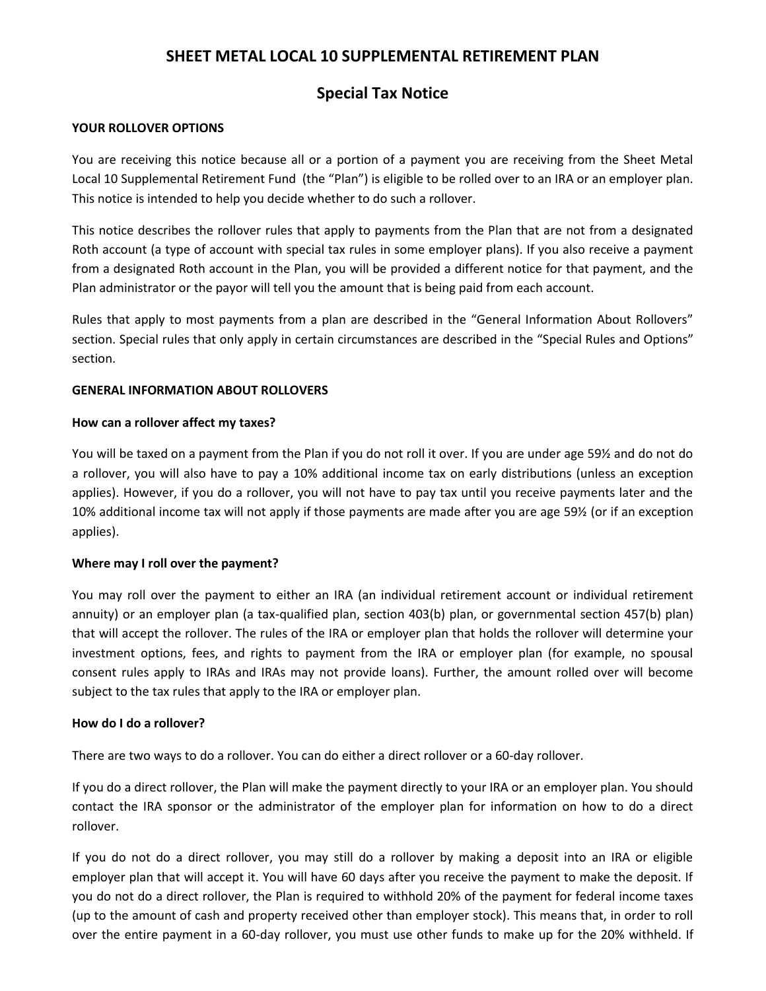# **SHEET METAL LOCAL 10 SUPPLEMENTAL RETIREMENT PLAN**

# **Special Tax Notice**

## **YOUR ROLLOVER OPTIONS**

You are receiving this notice because all or a portion of a payment you are receiving from the Sheet Metal Local 10 Supplemental Retirement Fund (the "Plan") is eligible to be rolled over to an IRA or an employer plan. This notice is intended to help you decide whether to do such a rollover.

This notice describes the rollover rules that apply to payments from the Plan that are not from a designated Roth account (a type of account with special tax rules in some employer plans). If you also receive a payment from a designated Roth account in the Plan, you will be provided a different notice for that payment, and the Plan administrator or the payor will tell you the amount that is being paid from each account.

Rules that apply to most payments from a plan are described in the "General Information About Rollovers" section. Special rules that only apply in certain circumstances are described in the "Special Rules and Options" section.

## **GENERAL INFORMATION ABOUT ROLLOVERS**

# **How can a rollover affect my taxes?**

You will be taxed on a payment from the Plan if you do not roll it over. If you are under age 59½ and do not do a rollover, you will also have to pay a 10% additional income tax on early distributions (unless an exception applies). However, if you do a rollover, you will not have to pay tax until you receive payments later and the 10% additional income tax will not apply if those payments are made after you are age 59½ (or if an exception applies).

# **Where may I roll over the payment?**

You may roll over the payment to either an IRA (an individual retirement account or individual retirement annuity) or an employer plan (a tax-qualified plan, section 403(b) plan, or governmental section 457(b) plan) that will accept the rollover. The rules of the IRA or employer plan that holds the rollover will determine your investment options, fees, and rights to payment from the IRA or employer plan (for example, no spousal consent rules apply to IRAs and IRAs may not provide loans). Further, the amount rolled over will become subject to the tax rules that apply to the IRA or employer plan.

## **How do I do a rollover?**

There are two ways to do a rollover. You can do either a direct rollover or a 60-day rollover.

If you do a direct rollover, the Plan will make the payment directly to your IRA or an employer plan. You should contact the IRA sponsor or the administrator of the employer plan for information on how to do a direct rollover.

If you do not do a direct rollover, you may still do a rollover by making a deposit into an IRA or eligible employer plan that will accept it. You will have 60 days after you receive the payment to make the deposit. If you do not do a direct rollover, the Plan is required to withhold 20% of the payment for federal income taxes (up to the amount of cash and property received other than employer stock). This means that, in order to roll over the entire payment in a 60-day rollover, you must use other funds to make up for the 20% withheld. If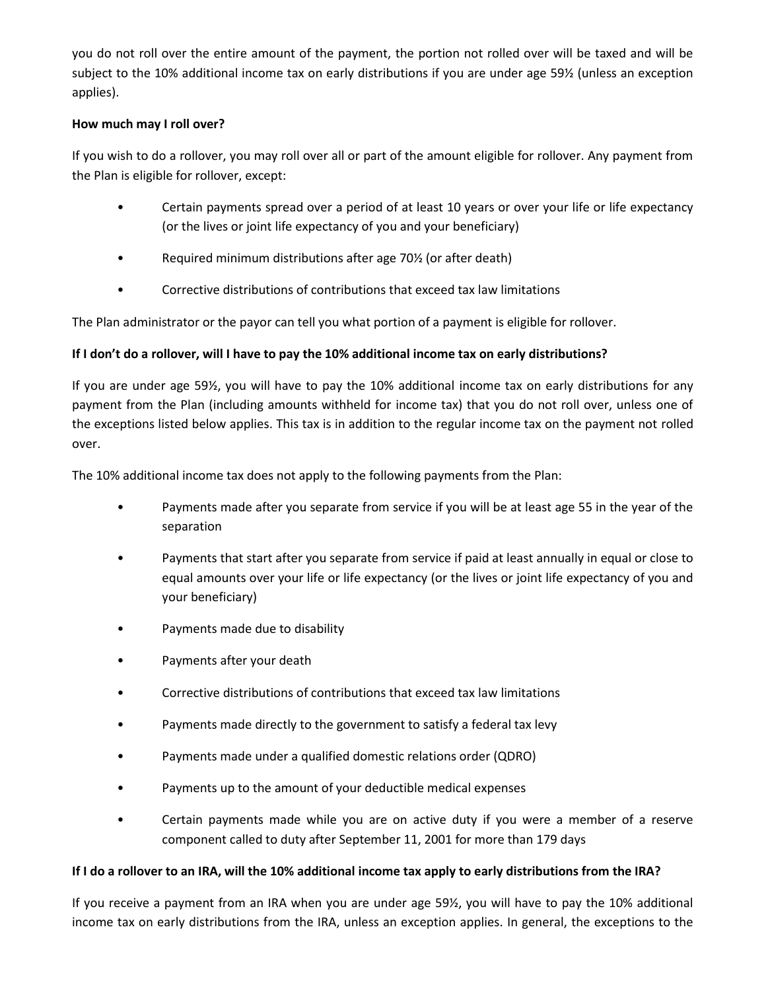you do not roll over the entire amount of the payment, the portion not rolled over will be taxed and will be subject to the 10% additional income tax on early distributions if you are under age 59½ (unless an exception applies).

# **How much may I roll over?**

If you wish to do a rollover, you may roll over all or part of the amount eligible for rollover. Any payment from the Plan is eligible for rollover, except:

- Certain payments spread over a period of at least 10 years or over your life or life expectancy (or the lives or joint life expectancy of you and your beneficiary)
- Required minimum distributions after age 70½ (or after death)
- Corrective distributions of contributions that exceed tax law limitations

The Plan administrator or the payor can tell you what portion of a payment is eligible for rollover.

# **If I don't do a rollover, will I have to pay the 10% additional income tax on early distributions?**

If you are under age 59½, you will have to pay the 10% additional income tax on early distributions for any payment from the Plan (including amounts withheld for income tax) that you do not roll over, unless one of the exceptions listed below applies. This tax is in addition to the regular income tax on the payment not rolled over.

The 10% additional income tax does not apply to the following payments from the Plan:

- Payments made after you separate from service if you will be at least age 55 in the year of the separation
- Payments that start after you separate from service if paid at least annually in equal or close to equal amounts over your life or life expectancy (or the lives or joint life expectancy of you and your beneficiary)
- Payments made due to disability
- Payments after your death
- Corrective distributions of contributions that exceed tax law limitations
- Payments made directly to the government to satisfy a federal tax levy
- Payments made under a qualified domestic relations order (QDRO)
- Payments up to the amount of your deductible medical expenses
- Certain payments made while you are on active duty if you were a member of a reserve component called to duty after September 11, 2001 for more than 179 days

## **If I do a rollover to an IRA, will the 10% additional income tax apply to early distributions from the IRA?**

If you receive a payment from an IRA when you are under age 59½, you will have to pay the 10% additional income tax on early distributions from the IRA, unless an exception applies. In general, the exceptions to the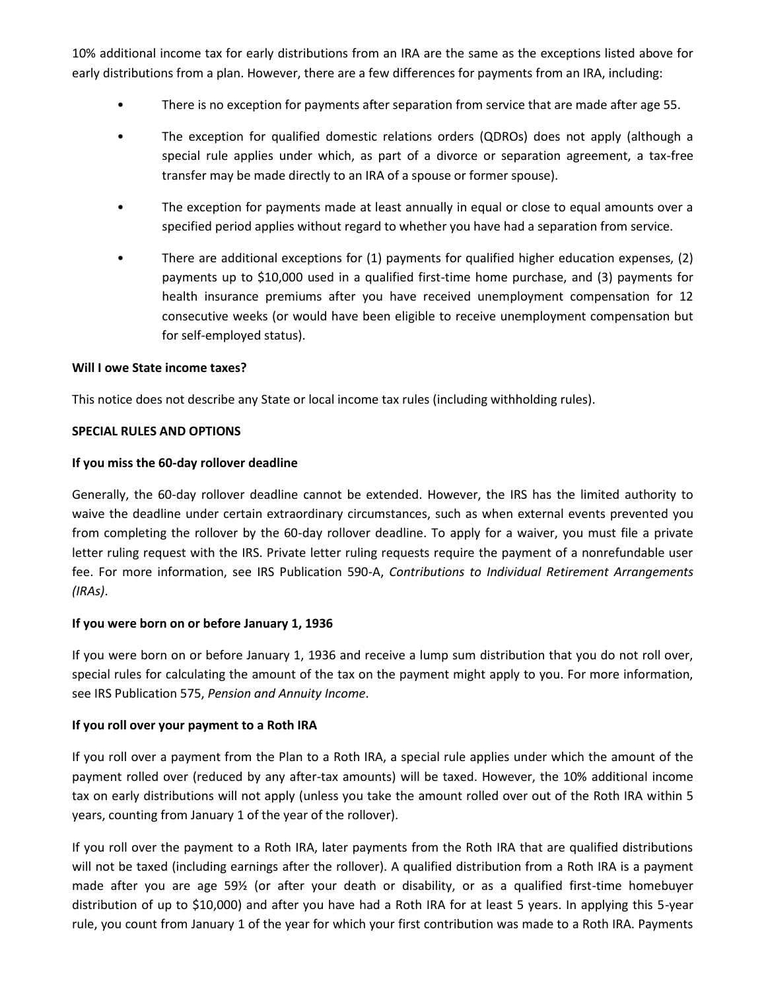10% additional income tax for early distributions from an IRA are the same as the exceptions listed above for early distributions from a plan. However, there are a few differences for payments from an IRA, including:

- There is no exception for payments after separation from service that are made after age 55.
- The exception for qualified domestic relations orders (QDROs) does not apply (although a special rule applies under which, as part of a divorce or separation agreement, a tax-free transfer may be made directly to an IRA of a spouse or former spouse).
- The exception for payments made at least annually in equal or close to equal amounts over a specified period applies without regard to whether you have had a separation from service.
- There are additional exceptions for (1) payments for qualified higher education expenses, (2) payments up to \$10,000 used in a qualified first-time home purchase, and (3) payments for health insurance premiums after you have received unemployment compensation for 12 consecutive weeks (or would have been eligible to receive unemployment compensation but for self-employed status).

#### **Will I owe State income taxes?**

This notice does not describe any State or local income tax rules (including withholding rules).

#### **SPECIAL RULES AND OPTIONS**

#### **If you miss the 60-day rollover deadline**

Generally, the 60-day rollover deadline cannot be extended. However, the IRS has the limited authority to waive the deadline under certain extraordinary circumstances, such as when external events prevented you from completing the rollover by the 60-day rollover deadline. To apply for a waiver, you must file a private letter ruling request with the IRS. Private letter ruling requests require the payment of a nonrefundable user fee. For more information, see IRS Publication 590-A, *Contributions to Individual Retirement Arrangements (IRAs)*.

## **If you were born on or before January 1, 1936**

If you were born on or before January 1, 1936 and receive a lump sum distribution that you do not roll over, special rules for calculating the amount of the tax on the payment might apply to you. For more information, see IRS Publication 575, *Pension and Annuity Income*.

## **If you roll over your payment to a Roth IRA**

If you roll over a payment from the Plan to a Roth IRA, a special rule applies under which the amount of the payment rolled over (reduced by any after-tax amounts) will be taxed. However, the 10% additional income tax on early distributions will not apply (unless you take the amount rolled over out of the Roth IRA within 5 years, counting from January 1 of the year of the rollover).

If you roll over the payment to a Roth IRA, later payments from the Roth IRA that are qualified distributions will not be taxed (including earnings after the rollover). A qualified distribution from a Roth IRA is a payment made after you are age 59½ (or after your death or disability, or as a qualified first-time homebuyer distribution of up to \$10,000) and after you have had a Roth IRA for at least 5 years. In applying this 5-year rule, you count from January 1 of the year for which your first contribution was made to a Roth IRA. Payments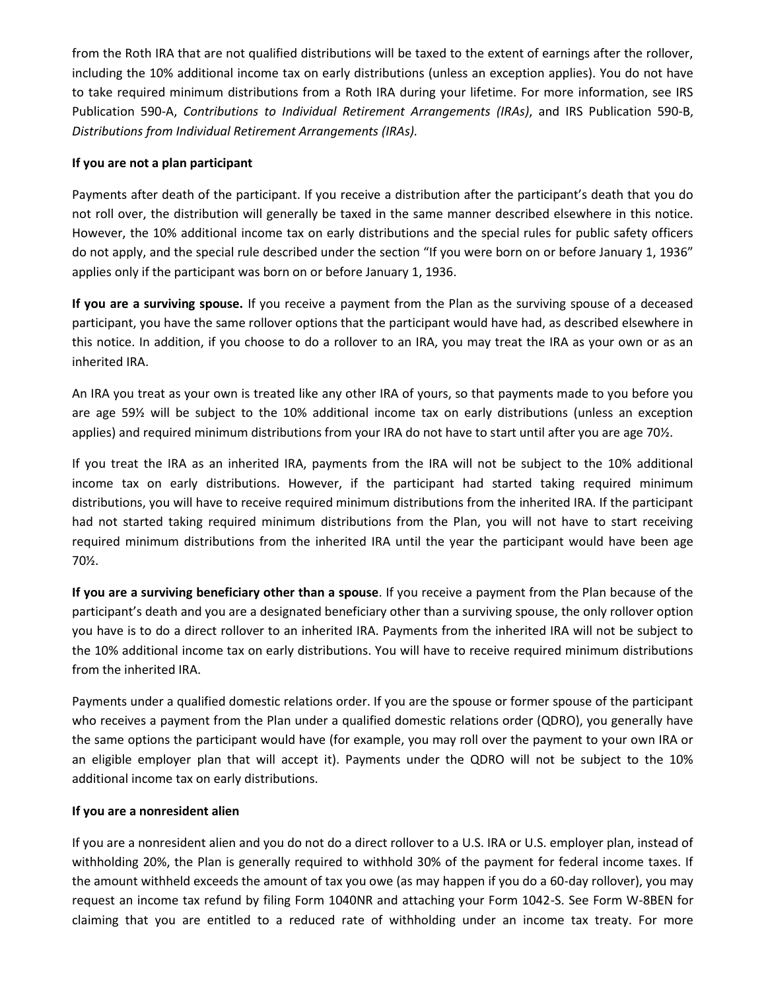from the Roth IRA that are not qualified distributions will be taxed to the extent of earnings after the rollover, including the 10% additional income tax on early distributions (unless an exception applies). You do not have to take required minimum distributions from a Roth IRA during your lifetime. For more information, see IRS Publication 590-A, *Contributions to Individual Retirement Arrangements (IRAs)*, and IRS Publication 590-B, *Distributions from Individual Retirement Arrangements (IRAs).* 

## **If you are not a plan participant**

Payments after death of the participant. If you receive a distribution after the participant's death that you do not roll over, the distribution will generally be taxed in the same manner described elsewhere in this notice. However, the 10% additional income tax on early distributions and the special rules for public safety officers do not apply, and the special rule described under the section "If you were born on or before January 1, 1936" applies only if the participant was born on or before January 1, 1936.

**If you are a surviving spouse.** If you receive a payment from the Plan as the surviving spouse of a deceased participant, you have the same rollover options that the participant would have had, as described elsewhere in this notice. In addition, if you choose to do a rollover to an IRA, you may treat the IRA as your own or as an inherited IRA.

An IRA you treat as your own is treated like any other IRA of yours, so that payments made to you before you are age 59½ will be subject to the 10% additional income tax on early distributions (unless an exception applies) and required minimum distributions from your IRA do not have to start until after you are age 70½.

If you treat the IRA as an inherited IRA, payments from the IRA will not be subject to the 10% additional income tax on early distributions. However, if the participant had started taking required minimum distributions, you will have to receive required minimum distributions from the inherited IRA. If the participant had not started taking required minimum distributions from the Plan, you will not have to start receiving required minimum distributions from the inherited IRA until the year the participant would have been age 70½.

**If you are a surviving beneficiary other than a spouse**. If you receive a payment from the Plan because of the participant's death and you are a designated beneficiary other than a surviving spouse, the only rollover option you have is to do a direct rollover to an inherited IRA. Payments from the inherited IRA will not be subject to the 10% additional income tax on early distributions. You will have to receive required minimum distributions from the inherited IRA.

Payments under a qualified domestic relations order. If you are the spouse or former spouse of the participant who receives a payment from the Plan under a qualified domestic relations order (QDRO), you generally have the same options the participant would have (for example, you may roll over the payment to your own IRA or an eligible employer plan that will accept it). Payments under the QDRO will not be subject to the 10% additional income tax on early distributions.

## **If you are a nonresident alien**

If you are a nonresident alien and you do not do a direct rollover to a U.S. IRA or U.S. employer plan, instead of withholding 20%, the Plan is generally required to withhold 30% of the payment for federal income taxes. If the amount withheld exceeds the amount of tax you owe (as may happen if you do a 60-day rollover), you may request an income tax refund by filing Form 1040NR and attaching your Form 1042-S. See Form W-8BEN for claiming that you are entitled to a reduced rate of withholding under an income tax treaty. For more